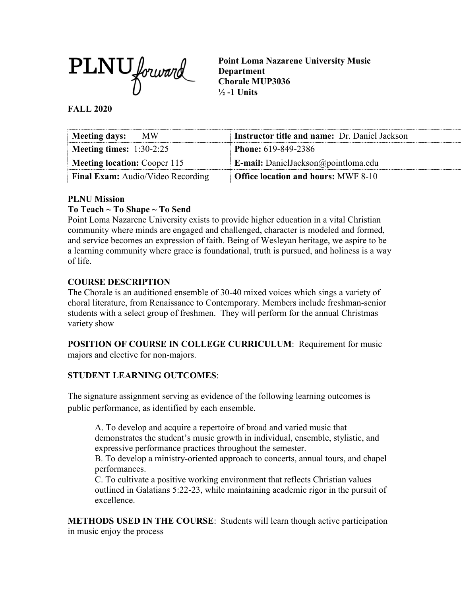

**Point Loma Nazarene University Music Department Chorale MUP3036 ½ -1 Units**

### **FALL 2020**

| Meeting days: MW                         | <b>Instructor title and name: Dr. Daniel Jackson</b> |  |  |  |
|------------------------------------------|------------------------------------------------------|--|--|--|
| Meeting times: $1:30-2:25$               | <b>Phone:</b> 619-849-2386                           |  |  |  |
| Meeting location: Cooper 115             | <b>E-mail:</b> DanielJackson@pointloma.edu           |  |  |  |
| <b>Final Exam:</b> Audio/Video Recording | <b>Office location and hours: MWF 8-10</b>           |  |  |  |

#### **PLNU Mission**

#### **To Teach ~ To Shape ~ To Send**

Point Loma Nazarene University exists to provide higher education in a vital Christian community where minds are engaged and challenged, character is modeled and formed, and service becomes an expression of faith. Being of Wesleyan heritage, we aspire to be a learning community where grace is foundational, truth is pursued, and holiness is a way of life.

### **COURSE DESCRIPTION**

The Chorale is an auditioned ensemble of 30-40 mixed voices which sings a variety of choral literature, from Renaissance to Contemporary. Members include freshman-senior students with a select group of freshmen. They will perform for the annual Christmas variety show

**POSITION OF COURSE IN COLLEGE CURRICULUM**: Requirement for music majors and elective for non-majors.

#### **STUDENT LEARNING OUTCOMES**:

The signature assignment serving as evidence of the following learning outcomes is public performance, as identified by each ensemble.

A. To develop and acquire a repertoire of broad and varied music that demonstrates the student's music growth in individual, ensemble, stylistic, and expressive performance practices throughout the semester.

B. To develop a ministry-oriented approach to concerts, annual tours, and chapel performances.

C. To cultivate a positive working environment that reflects Christian values outlined in Galatians 5:22-23, while maintaining academic rigor in the pursuit of excellence.

**METHODS USED IN THE COURSE**: Students will learn though active participation in music enjoy the process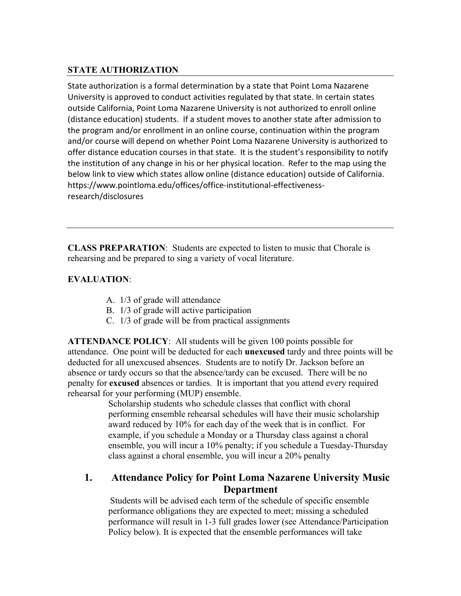## **STATE AUTHORIZATION**

State authorization is a formal determination by a state that Point Loma Nazarene University is approved to conduct activities regulated by that state. In certain states outside California, Point Loma Nazarene University is not authorized to enroll online (distance education) students. If a student moves to another state after admission to the program and/or enrollment in an online course, continuation within the program and/or course will depend on whether Point Loma Nazarene University is authorized to offer distance education courses in that state. It is the student's responsibility to notify the institution of any change in his or her physical location. Refer to the map using the below link to view which states allow online (distance education) outside of California. [https://www.pointloma.edu/offices/office-institutional-effectiveness](https://www.pointloma.edu/offices/office-institutional-effectiveness-research/disclosures)[research/disclosures](https://www.pointloma.edu/offices/office-institutional-effectiveness-research/disclosures)

**CLASS PREPARATION**: Students are expected to listen to music that Chorale is rehearsing and be prepared to sing a variety of vocal literature.

## **EVALUATION**:

- A. 1/3 of grade will attendance
- B. 1/3 of grade will active participation
- C. 1/3 of grade will be from practical assignments

**ATTENDANCE POLICY**: All students will be given 100 points possible for attendance. One point will be deducted for each **unexcused** tardy and three points will be deducted for all unexcused absences. Students are to notify Dr. Jackson before an absence or tardy occurs so that the absence/tardy can be excused. There will be no penalty for **excused** absences or tardies. It is important that you attend every required rehearsal for your performing (MUP) ensemble.

Scholarship students who schedule classes that conflict with choral performing ensemble rehearsal schedules will have their music scholarship award reduced by 10% for each day of the week that is in conflict. For example, if you schedule a Monday or a Thursday class against a choral ensemble, you will incur a 10% penalty; if you schedule a Tuesday-Thursday class against a choral ensemble, you will incur a 20% penalty

## **1. Attendance Policy for Point Loma Nazarene University Music Department**

Students will be advised each term of the schedule of specific ensemble performance obligations they are expected to meet; missing a scheduled performance will result in 1-3 full grades lower (see Attendance/Participation Policy below). It is expected that the ensemble performances will take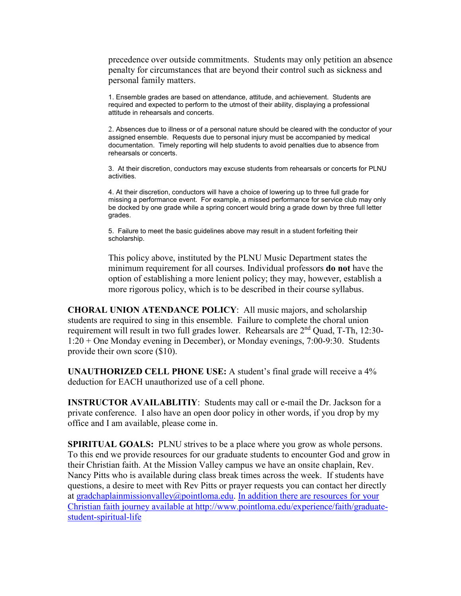precedence over outside commitments. Students may only petition an absence penalty for circumstances that are beyond their control such as sickness and personal family matters.

1. Ensemble grades are based on attendance, attitude, and achievement. Students are required and expected to perform to the utmost of their ability, displaying a professional attitude in rehearsals and concerts.

2. Absences due to illness or of a personal nature should be cleared with the conductor of your assigned ensemble. Requests due to personal injury must be accompanied by medical documentation. Timely reporting will help students to avoid penalties due to absence from rehearsals or concerts.

3. At their discretion, conductors may excuse students from rehearsals or concerts for PLNU activities.

4. At their discretion, conductors will have a choice of lowering up to three full grade for missing a performance event. For example, a missed performance for service club may only be docked by one grade while a spring concert would bring a grade down by three full letter grades.

5. Failure to meet the basic guidelines above may result in a student forfeiting their scholarship.

This policy above, instituted by the PLNU Music Department states the minimum requirement for all courses. Individual professors **do not** have the option of establishing a more lenient policy; they may, however, establish a more rigorous policy, which is to be described in their course syllabus.

**CHORAL UNION ATENDANCE POLICY**: All music majors, and scholarship students are required to sing in this ensemble. Failure to complete the choral union requirement will result in two full grades lower. Rehearsals are 2nd Quad, T-Th, 12:30- 1:20 + One Monday evening in December), or Monday evenings, 7:00-9:30. Students provide their own score (\$10).

**UNAUTHORIZED CELL PHONE USE:** A student's final grade will receive a 4% deduction for EACH unauthorized use of a cell phone.

**INSTRUCTOR AVAILABLITIY**: Students may call or e-mail the Dr. Jackson for a private conference. I also have an open door policy in other words, if you drop by my office and I am available, please come in.

**SPIRITUAL GOALS:** PLNU strives to be a place where you grow as whole persons. To this end we provide resources for our graduate students to encounter God and grow in their Christian faith. At the Mission Valley campus we have an onsite chaplain, Rev. Nancy Pitts who is available during class break times across the week. If students have questions, a desire to meet with Rev Pitts or prayer requests you can contact her directly at [gradchaplainmissionvalley@pointloma.edu.](mailto:gradchaplainmissionvalley@pointloma.edu) [In addition there are resources for your](mailto:gradchaplainmissionvalley@pointloma.edu.%20%20%0dIn%20addition%20there%20are%20resources%20for%20your%20Christian%20faith%20journey%20are%20available%20at%20http://www.pointloma.edu/SpiritualDevelopment/Graduate_Students.htm.%0b)  Christian faith journey available at [http://www.pointloma.edu/experience/faith/graduate](mailto:gradchaplainmissionvalley@pointloma.edu.%20%20%0dIn%20addition%20there%20are%20resources%20for%20your%20Christian%20faith%20journey%20are%20available%20at%20http://www.pointloma.edu/SpiritualDevelopment/Graduate_Students.htm.%0b)[student-spiritual-life](mailto:gradchaplainmissionvalley@pointloma.edu.%20%20%0dIn%20addition%20there%20are%20resources%20for%20your%20Christian%20faith%20journey%20are%20available%20at%20http://www.pointloma.edu/SpiritualDevelopment/Graduate_Students.htm.%0b)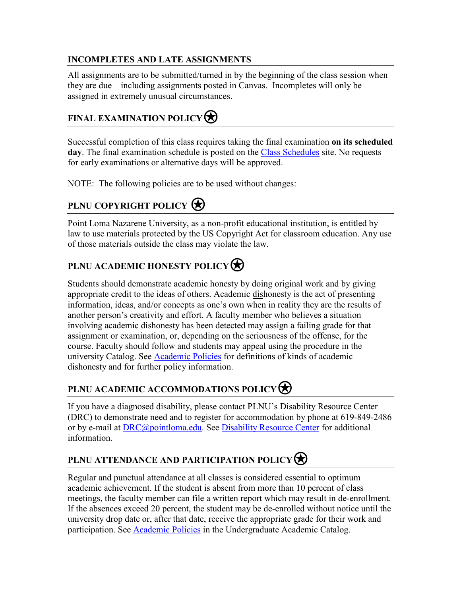## **INCOMPLETES AND LATE ASSIGNMENTS**

All assignments are to be submitted/turned in by the beginning of the class session when they are due—including assignments posted in Canvas. Incompletes will only be assigned in extremely unusual circumstances.

# **FINAL EXAMINATION POLICY**

Successful completion of this class requires taking the final examination **on its scheduled day**. The final examination schedule is posted on the [Class Schedules](http://www.pointloma.edu/experience/academics/class-schedules) site. No requests for early examinations or alternative days will be approved.

NOTE: The following policies are to be used without changes:

# **PLNU COPYRIGHT POLICY**

Point Loma Nazarene University, as a non-profit educational institution, is entitled by law to use materials protected by the US Copyright Act for classroom education. Any use of those materials outside the class may violate the law.

## **PLNU ACADEMIC HONESTY POLICY**

Students should demonstrate academic honesty by doing original work and by giving appropriate credit to the ideas of others. Academic dishonesty is the act of presenting information, ideas, and/or concepts as one's own when in reality they are the results of another person's creativity and effort. A faculty member who believes a situation involving academic dishonesty has been detected may assign a failing grade for that assignment or examination, or, depending on the seriousness of the offense, for the course. Faculty should follow and students may appeal using the procedure in the university Catalog. See [Academic Policies](http://catalog.pointloma.edu/content.php?catoid=18&navoid=1278) for definitions of kinds of academic dishonesty and for further policy information.

## **PLNU ACADEMIC ACCOMMODATIONS POLICY**

If you have a diagnosed disability, please contact PLNU's Disability Resource Center (DRC) to demonstrate need and to register for accommodation by phone at 619-849-2486 or by e-mail at [DRC@pointloma.edu.](mailto:DRC@pointloma.edu) See [Disability Resource Center](http://www.pointloma.edu/experience/offices/administrative-offices/academic-advising-office/disability-resource-center) for additional information.

# **PLNU ATTENDANCE AND PARTICIPATION POLICY**

Regular and punctual attendance at all classes is considered essential to optimum academic achievement. If the student is absent from more than 10 percent of class meetings, the faculty member can file a written report which may result in de-enrollment. If the absences exceed 20 percent, the student may be de-enrolled without notice until the university drop date or, after that date, receive the appropriate grade for their work and participation. See [Academic Policies](http://catalog.pointloma.edu/content.php?catoid=18&navoid=1278) in the Undergraduate Academic Catalog.